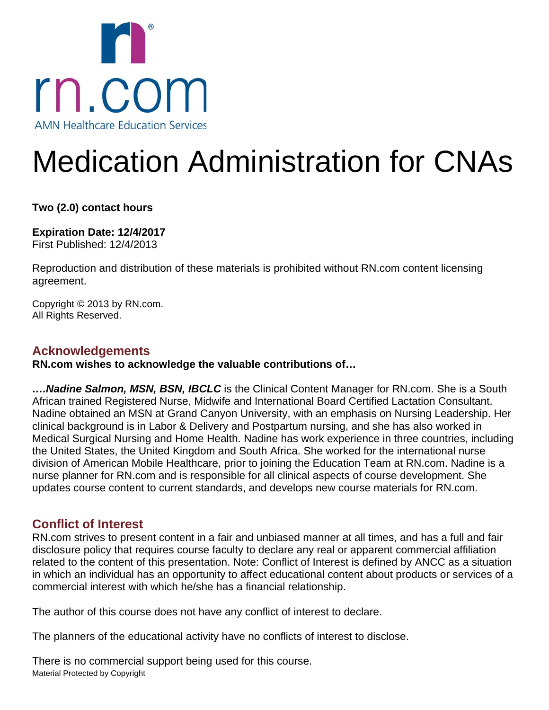

# Medication Administration for CNAs

**Two (2.0) contact hours** 

**Expiration Date: 12/4/2017** First Published: 12/4/2013

Reproduction and distribution of these materials is prohibited without RN.com content licensing agreement.

Copyright © 2013 by RN.com. All Rights Reserved.

## **Acknowledgements**

**RN.com wishes to acknowledge the valuable contributions of…**

*….Nadine Salmon, MSN, BSN, IBCLC* is the Clinical Content Manager for RN.com. She is a South African trained Registered Nurse, Midwife and International Board Certified Lactation Consultant. Nadine obtained an MSN at Grand Canyon University, with an emphasis on Nursing Leadership. Her clinical background is in Labor & Delivery and Postpartum nursing, and she has also worked in Medical Surgical Nursing and Home Health. Nadine has work experience in three countries, including the United States, the United Kingdom and South Africa. She worked for the international nurse division of American Mobile Healthcare, prior to joining the Education Team at RN.com. Nadine is a nurse planner for RN.com and is responsible for all clinical aspects of course development. She updates course content to current standards, and develops new course materials for RN.com.

## **Conflict of Interest**

RN.com strives to present content in a fair and unbiased manner at all times, and has a full and fair disclosure policy that requires course faculty to declare any real or apparent commercial affiliation related to the content of this presentation. Note: Conflict of Interest is defined by ANCC as a situation in which an individual has an opportunity to affect educational content about products or services of a commercial interest with which he/she has a financial relationship.

The author of this course does not have any conflict of interest to declare.

The planners of the educational activity have no conflicts of interest to disclose.

Material Protected by Copyright There is no commercial support being used for this course.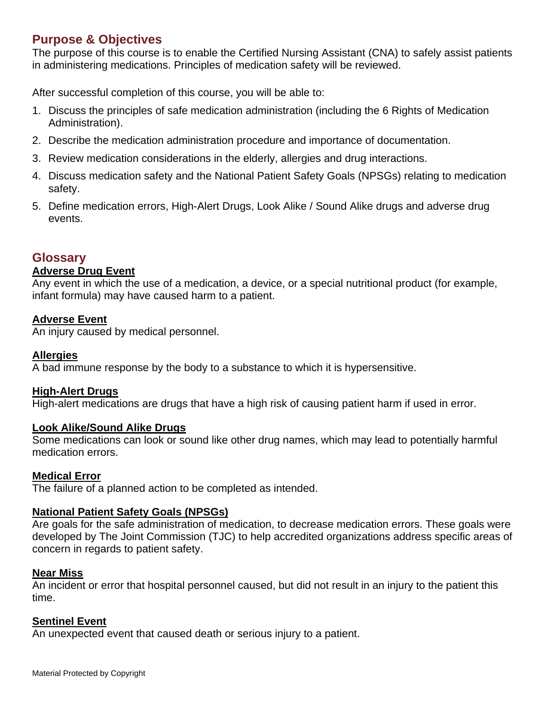## **Purpose & Objectives**

The purpose of this course is to enable the Certified Nursing Assistant (CNA) to safely assist patients in administering medications. Principles of medication safety will be reviewed.

After successful completion of this course, you will be able to:

- 1. Discuss the principles of safe medication administration (including the 6 Rights of Medication Administration).
- 2. Describe the medication administration procedure and importance of documentation.
- 3. Review medication considerations in the elderly, allergies and drug interactions.
- 4. Discuss medication safety and the National Patient Safety Goals (NPSGs) relating to medication safety.
- 5. Define medication errors, High-Alert Drugs, Look Alike / Sound Alike drugs and adverse drug events.

## **Glossary**

#### **Adverse Drug Event**

Any event in which the use of a medication, a device, or a special nutritional product (for example, infant formula) may have caused harm to a patient.

#### **Adverse Event**

An injury caused by medical personnel.

#### **Allergies**

A bad immune response by the body to a substance to which it is hypersensitive.

#### **High-Alert Drugs**

High-alert medications are drugs that have a high risk of causing patient harm if used in error.

#### **Look Alike/Sound Alike Drugs**

Some medications can look or sound like other drug names, which may lead to potentially harmful medication errors.

## **Medical Error**

The failure of a planned action to be completed as intended.

#### **National Patient Safety Goals (NPSGs)**

Are goals for the safe administration of medication, to decrease medication errors. These goals were developed by The Joint Commission (TJC) to help accredited organizations address specific areas of concern in regards to patient safety.

#### **Near Miss**

An incident or error that hospital personnel caused, but did not result in an injury to the patient this time.

#### **Sentinel Event**

An unexpected event that caused death or serious injury to a patient.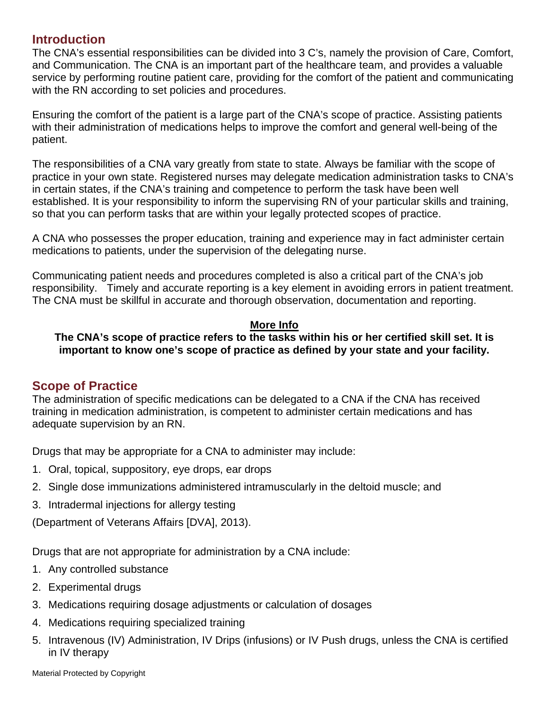## **Introduction**

The CNA's essential responsibilities can be divided into 3 C's, namely the provision of Care, Comfort, and Communication. The CNA is an important part of the healthcare team, and provides a valuable service by performing routine patient care, providing for the comfort of the patient and communicating with the RN according to set policies and procedures.

Ensuring the comfort of the patient is a large part of the CNA's scope of practice. Assisting patients with their administration of medications helps to improve the comfort and general well-being of the patient.

The responsibilities of a CNA vary greatly from state to state. Always be familiar with the scope of practice in your own state. Registered nurses may delegate medication administration tasks to CNA's in certain states, if the CNA's training and competence to perform the task have been well established. It is your responsibility to inform the supervising RN of your particular skills and training, so that you can perform tasks that are within your legally protected scopes of practice.

A CNA who possesses the proper education, training and experience may in fact administer certain medications to patients, under the supervision of the delegating nurse.

Communicating patient needs and procedures completed is also a critical part of the CNA's job responsibility. Timely and accurate reporting is a key element in avoiding errors in patient treatment. The CNA must be skillful in accurate and thorough observation, documentation and reporting.

#### **More Info**

#### **The CNA's scope of practice refers to the tasks within his or her certified skill set. It is important to know one's scope of practice as defined by your state and your facility.**

## **Scope of Practice**

The administration of specific medications can be delegated to a CNA if the CNA has received training in medication administration, is competent to administer certain medications and has adequate supervision by an RN.

Drugs that may be appropriate for a CNA to administer may include:

- 1. Oral, topical, suppository, eye drops, ear drops
- 2. Single dose immunizations administered intramuscularly in the deltoid muscle; and
- 3. Intradermal injections for allergy testing

(Department of Veterans Affairs [DVA], 2013).

Drugs that are not appropriate for administration by a CNA include:

- 1. Any controlled substance
- 2. Experimental drugs
- 3. Medications requiring dosage adjustments or calculation of dosages
- 4. Medications requiring specialized training
- 5. Intravenous (IV) Administration, IV Drips (infusions) or IV Push drugs, unless the CNA is certified in IV therapy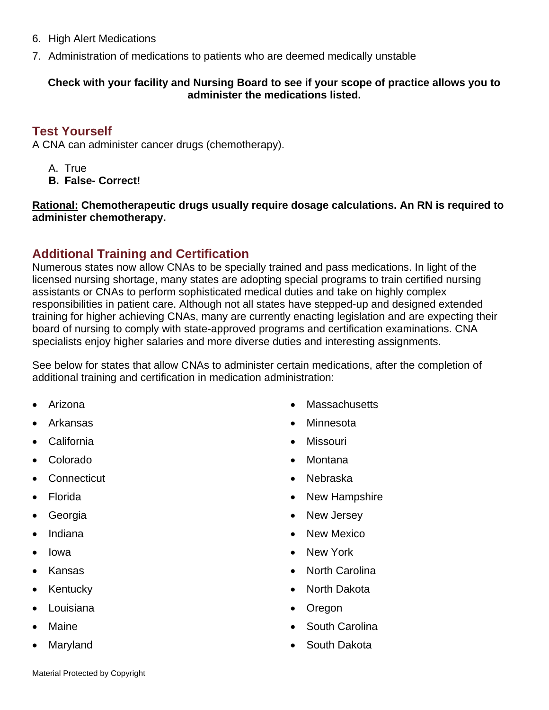- 6. High Alert Medications
- 7. Administration of medications to patients who are deemed medically unstable

#### **Check with your facility and Nursing Board to see if your scope of practice allows you to administer the medications listed.**

## **Test Yourself**

A CNA can administer cancer drugs (chemotherapy).

A. True **B. False- Correct!** 

**Rational: Chemotherapeutic drugs usually require dosage calculations. An RN is required to administer chemotherapy.** 

## **Additional Training and Certification**

Numerous states now allow CNAs to be specially trained and pass medications. In light of the licensed nursing shortage, many states are adopting special programs to train certified nursing assistants or CNAs to perform sophisticated medical duties and take on highly complex responsibilities in patient care. Although not all states have stepped-up and designed extended training for higher achieving CNAs, many are currently enacting legislation and are expecting their board of nursing to comply with state-approved programs and certification examinations. CNA specialists enjoy higher salaries and more diverse duties and interesting assignments.

See below for states that allow CNAs to administer certain medications, after the completion of additional training and certification in medication administration:

- Arizona
- Arkansas
- California
- Colorado
- Connecticut
- Florida
- Georgia
- Indiana
- Iowa
- Kansas
- Kentucky
- Louisiana
- **Maine**
- Maryland
- Massachusetts
- Minnesota
- Missouri
- Montana
- Nebraska
- New Hampshire
- New Jersey
- New Mexico
- New York
- North Carolina
- North Dakota
- Oregon
- South Carolina
- South Dakota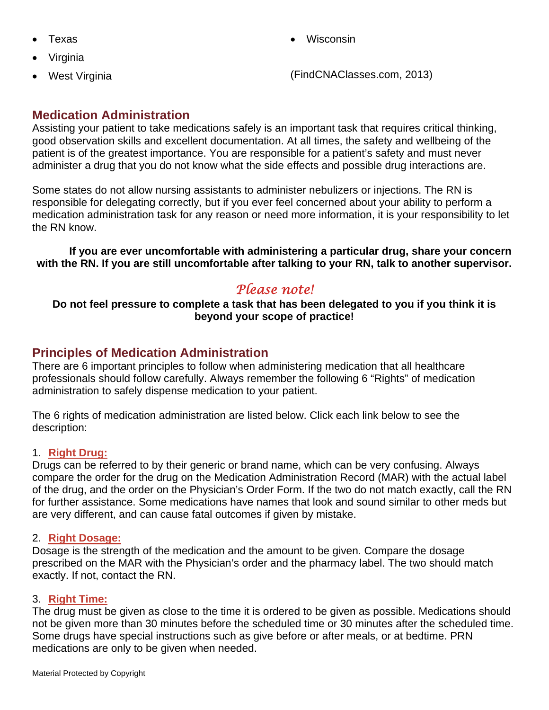- Texas
- Virginia
- West Virginia

• Wisconsin

(FindCNAClasses.com, 2013)

## **Medication Administration**

Assisting your patient to take medications safely is an important task that requires critical thinking, good observation skills and excellent documentation. At all times, the safety and wellbeing of the patient is of the greatest importance. You are responsible for a patient's safety and must never administer a drug that you do not know what the side effects and possible drug interactions are.

Some states do not allow nursing assistants to administer nebulizers or injections. The RN is responsible for delegating correctly, but if you ever feel concerned about your ability to perform a medication administration task for any reason or need more information, it is your responsibility to let the RN know.

 **If you are ever uncomfortable with administering a particular drug, share your concern with the RN. If you are still uncomfortable after talking to your RN, talk to another supervisor.**

# *Please note!*

**Do not feel pressure to complete a task that has been delegated to you if you think it is beyond your scope of practice!** 

## **Principles of Medication Administration**

There are 6 important principles to follow when administering medication that all healthcare professionals should follow carefully. Always remember the following 6 "Rights" of medication administration to safely dispense medication to your patient.

The 6 rights of medication administration are listed below. Click each link below to see the description:

#### 1. **Right Drug:**

Drugs can be referred to by their generic or brand name, which can be very confusing. Always compare the order for the drug on the Medication Administration Record (MAR) with the actual label of the drug, and the order on the Physician's Order Form. If the two do not match exactly, call the RN for further assistance. Some medications have names that look and sound similar to other meds but are very different, and can cause fatal outcomes if given by mistake.

#### 2. **Right Dosage:**

Dosage is the strength of the medication and the amount to be given. Compare the dosage prescribed on the MAR with the Physician's order and the pharmacy label. The two should match exactly. If not, contact the RN.

#### 3. **Right Time:**

The drug must be given as close to the time it is ordered to be given as possible. Medications should not be given more than 30 minutes before the scheduled time or 30 minutes after the scheduled time. Some drugs have special instructions such as give before or after meals, or at bedtime. PRN medications are only to be given when needed.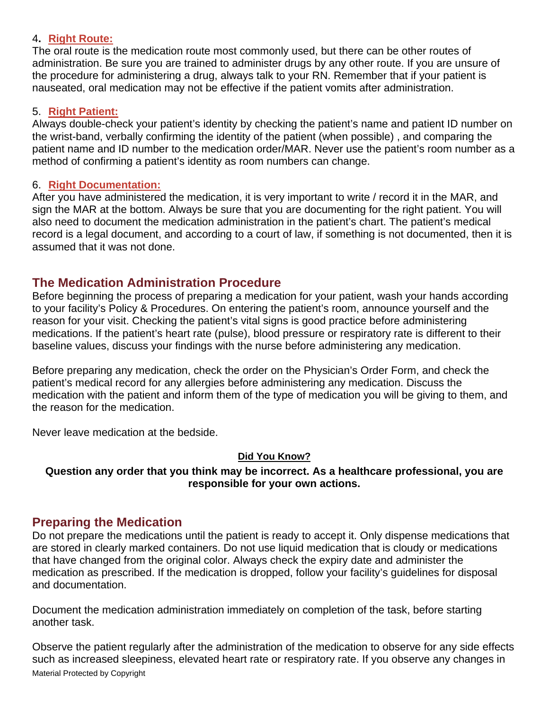#### 4**. Right Route:**

The oral route is the medication route most commonly used, but there can be other routes of administration. Be sure you are trained to administer drugs by any other route. If you are unsure of the procedure for administering a drug, always talk to your RN. Remember that if your patient is nauseated, oral medication may not be effective if the patient vomits after administration.

#### 5. **Right Patient:**

Always double-check your patient's identity by checking the patient's name and patient ID number on the wrist-band, verbally confirming the identity of the patient (when possible) , and comparing the patient name and ID number to the medication order/MAR. Never use the patient's room number as a method of confirming a patient's identity as room numbers can change.

#### 6. **Right Documentation:**

After you have administered the medication, it is very important to write / record it in the MAR, and sign the MAR at the bottom. Always be sure that you are documenting for the right patient. You will also need to document the medication administration in the patient's chart. The patient's medical record is a legal document, and according to a court of law, if something is not documented, then it is assumed that it was not done.

## **The Medication Administration Procedure**

Before beginning the process of preparing a medication for your patient, wash your hands according to your facility's Policy & Procedures. On entering the patient's room, announce yourself and the reason for your visit. Checking the patient's vital signs is good practice before administering medications. If the patient's heart rate (pulse), blood pressure or respiratory rate is different to their baseline values, discuss your findings with the nurse before administering any medication.

Before preparing any medication, check the order on the Physician's Order Form, and check the patient's medical record for any allergies before administering any medication. Discuss the medication with the patient and inform them of the type of medication you will be giving to them, and the reason for the medication.

Never leave medication at the bedside.

## **Did You Know?**

**Question any order that you think may be incorrect. As a healthcare professional, you are responsible for your own actions.** 

## **Preparing the Medication**

Do not prepare the medications until the patient is ready to accept it. Only dispense medications that are stored in clearly marked containers. Do not use liquid medication that is cloudy or medications that have changed from the original color. Always check the expiry date and administer the medication as prescribed. If the medication is dropped, follow your facility's guidelines for disposal and documentation.

Document the medication administration immediately on completion of the task, before starting another task.

Material Protected by Copyright Observe the patient regularly after the administration of the medication to observe for any side effects such as increased sleepiness, elevated heart rate or respiratory rate. If you observe any changes in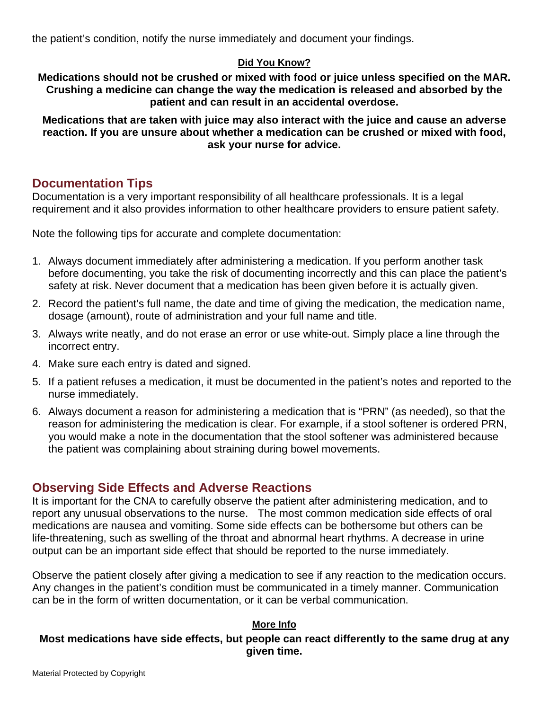the patient's condition, notify the nurse immediately and document your findings.

## **Did You Know?**

**Medications should not be crushed or mixed with food or juice unless specified on the MAR. Crushing a medicine can change the way the medication is released and absorbed by the patient and can result in an accidental overdose.** 

**Medications that are taken with juice may also interact with the juice and cause an adverse reaction. If you are unsure about whether a medication can be crushed or mixed with food, ask your nurse for advice.** 

## **Documentation Tips**

Documentation is a very important responsibility of all healthcare professionals. It is a legal requirement and it also provides information to other healthcare providers to ensure patient safety.

Note the following tips for accurate and complete documentation:

- 1. Always document immediately after administering a medication. If you perform another task before documenting, you take the risk of documenting incorrectly and this can place the patient's safety at risk. Never document that a medication has been given before it is actually given.
- 2. Record the patient's full name, the date and time of giving the medication, the medication name, dosage (amount), route of administration and your full name and title.
- 3. Always write neatly, and do not erase an error or use white-out. Simply place a line through the incorrect entry.
- 4. Make sure each entry is dated and signed.
- 5. If a patient refuses a medication, it must be documented in the patient's notes and reported to the nurse immediately.
- 6. Always document a reason for administering a medication that is "PRN" (as needed), so that the reason for administering the medication is clear. For example, if a stool softener is ordered PRN, you would make a note in the documentation that the stool softener was administered because the patient was complaining about straining during bowel movements.

## **Observing Side Effects and Adverse Reactions**

It is important for the CNA to carefully observe the patient after administering medication, and to report any unusual observations to the nurse. The most common medication side effects of oral medications are nausea and vomiting. Some side effects can be bothersome but others can be life-threatening, such as swelling of the throat and abnormal heart rhythms. A decrease in urine output can be an important side effect that should be reported to the nurse immediately.

Observe the patient closely after giving a medication to see if any reaction to the medication occurs. Any changes in the patient's condition must be communicated in a timely manner. Communication can be in the form of written documentation, or it can be verbal communication.

#### **More Info**

#### **Most medications have side effects, but people can react differently to the same drug at any given time.**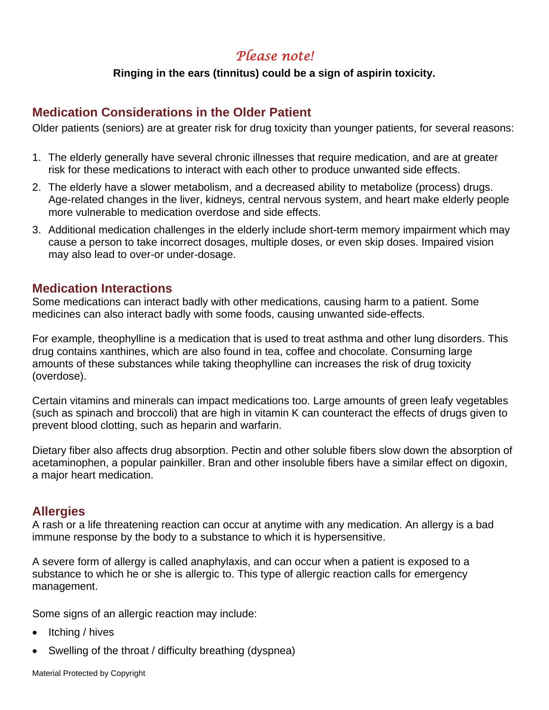# *Please note!*

#### **Ringing in the ears (tinnitus) could be a sign of aspirin toxicity.**

## **Medication Considerations in the Older Patient**

Older patients (seniors) are at greater risk for drug toxicity than younger patients, for several reasons:

- 1. The elderly generally have several chronic illnesses that require medication, and are at greater risk for these medications to interact with each other to produce unwanted side effects.
- 2. The elderly have a slower metabolism, and a decreased ability to metabolize (process) drugs. Age-related changes in the liver, kidneys, central nervous system, and heart make elderly people more vulnerable to medication overdose and side effects.
- 3. Additional medication challenges in the elderly include short-term memory impairment which may cause a person to take incorrect dosages, multiple doses, or even skip doses. Impaired vision may also lead to over-or under-dosage.

## **Medication Interactions**

Some medications can interact badly with other medications, causing harm to a patient. Some medicines can also interact badly with some foods, causing unwanted side-effects.

For example, theophylline is a medication that is used to treat asthma and other lung disorders. This drug contains xanthines, which are also found in tea, coffee and chocolate. Consuming large amounts of these substances while taking theophylline can increases the risk of drug toxicity (overdose).

Certain vitamins and minerals can impact medications too. Large amounts of green leafy vegetables (such as spinach and broccoli) that are high in vitamin K can counteract the effects of drugs given to prevent blood clotting, such as heparin and warfarin.

Dietary fiber also affects drug absorption. Pectin and other soluble fibers slow down the absorption of acetaminophen, a popular painkiller. Bran and other insoluble fibers have a similar effect on digoxin, a major heart medication.

## **Allergies**

A rash or a life threatening reaction can occur at anytime with any medication. An allergy is a bad immune response by the body to a substance to which it is hypersensitive.

A severe form of allergy is called anaphylaxis, and can occur when a patient is exposed to a substance to which he or she is allergic to. This type of allergic reaction calls for emergency management.

Some signs of an allergic reaction may include:

- Itching / hives
- Swelling of the throat / difficulty breathing (dyspnea)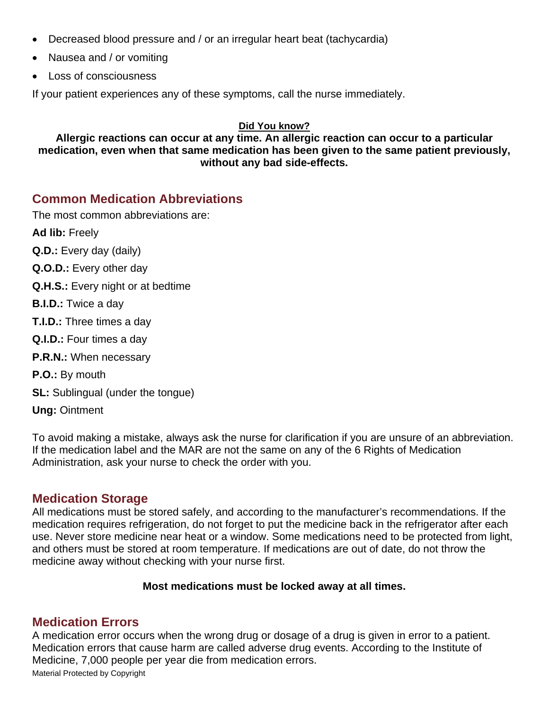- Decreased blood pressure and / or an irregular heart beat (tachycardia)
- Nausea and / or vomiting
- Loss of consciousness

If your patient experiences any of these symptoms, call the nurse immediately.

#### **Did You know?**

**Allergic reactions can occur at any time. An allergic reaction can occur to a particular medication, even when that same medication has been given to the same patient previously, without any bad side-effects.**

## **Common Medication Abbreviations**

The most common abbreviations are:

**Ad lib:** Freely

- **Q.D.:** Every day (daily)
- **Q.O.D.:** Every other day
- **Q.H.S.:** Every night or at bedtime
- **B.I.D.:** Twice a day
- **T.I.D.:** Three times a day
- **Q.I.D.:** Four times a day
- **P.R.N.:** When necessary
- **P.O.:** By mouth
- **SL:** Sublingual (under the tongue)

**Ung:** Ointment

To avoid making a mistake, always ask the nurse for clarification if you are unsure of an abbreviation. If the medication label and the MAR are not the same on any of the 6 Rights of Medication Administration, ask your nurse to check the order with you.

## **Medication Storage**

All medications must be stored safely, and according to the manufacturer's recommendations. If the medication requires refrigeration, do not forget to put the medicine back in the refrigerator after each use. Never store medicine near heat or a window. Some medications need to be protected from light, and others must be stored at room temperature. If medications are out of date, do not throw the medicine away without checking with your nurse first.

#### **Most medications must be locked away at all times.**

## **Medication Errors**

A medication error occurs when the wrong drug or dosage of a drug is given in error to a patient. Medication errors that cause harm are called adverse drug events. According to the Institute of Medicine, 7,000 people per year die from medication errors.

Material Protected by Copyright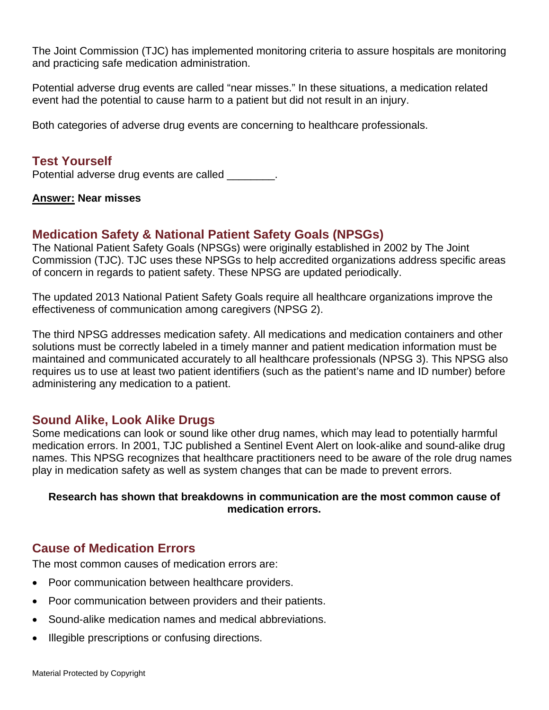The Joint Commission (TJC) has implemented monitoring criteria to assure hospitals are monitoring and practicing safe medication administration.

Potential adverse drug events are called "near misses." In these situations, a medication related event had the potential to cause harm to a patient but did not result in an injury.

Both categories of adverse drug events are concerning to healthcare professionals.

## **Test Yourself**

Potential adverse drug events are called  $\qquad \qquad$ .

#### **Answer: Near misses**

## **Medication Safety & National Patient Safety Goals (NPSGs)**

The National Patient Safety Goals (NPSGs) were originally established in 2002 by The Joint Commission (TJC). TJC uses these NPSGs to help accredited organizations address specific areas of concern in regards to patient safety. These NPSG are updated periodically.

The updated 2013 National Patient Safety Goals require all healthcare organizations improve the effectiveness of communication among caregivers (NPSG 2).

The third NPSG addresses medication safety. All medications and medication containers and other solutions must be correctly labeled in a timely manner and patient medication information must be maintained and communicated accurately to all healthcare professionals (NPSG 3). This NPSG also requires us to use at least two patient identifiers (such as the patient's name and ID number) before administering any medication to a patient.

## **Sound Alike, Look Alike Drugs**

Some medications can look or sound like other drug names, which may lead to potentially harmful medication errors. In 2001, TJC published a Sentinel Event Alert on look-alike and sound-alike drug names. This NPSG recognizes that healthcare practitioners need to be aware of the role drug names play in medication safety as well as system changes that can be made to prevent errors.

#### **Research has shown that breakdowns in communication are the most common cause of medication errors.**

## **Cause of Medication Errors**

The most common causes of medication errors are:

- Poor communication between healthcare providers.
- Poor communication between providers and their patients.
- Sound-alike medication names and medical abbreviations.
- Illegible prescriptions or confusing directions.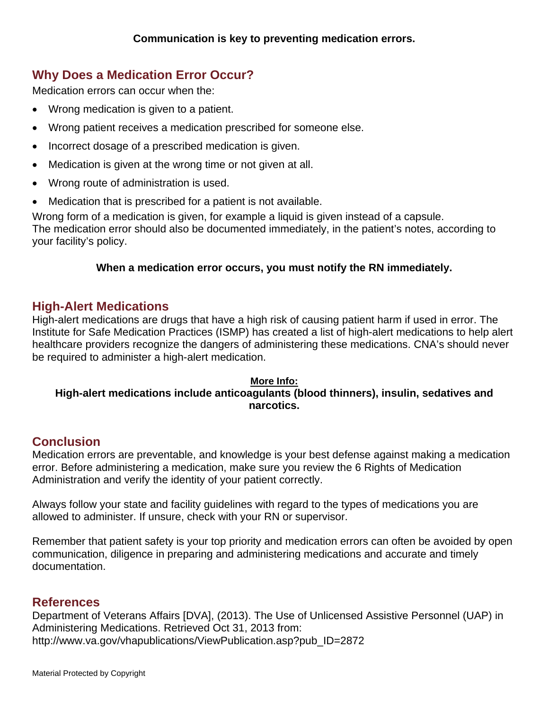# **Why Does a Medication Error Occur?**

Medication errors can occur when the:

- Wrong medication is given to a patient.
- Wrong patient receives a medication prescribed for someone else.
- Incorrect dosage of a prescribed medication is given.
- Medication is given at the wrong time or not given at all.
- Wrong route of administration is used.
- Medication that is prescribed for a patient is not available.

Wrong form of a medication is given, for example a liquid is given instead of a capsule. The medication error should also be documented immediately, in the patient's notes, according to your facility's policy.

## **When a medication error occurs, you must notify the RN immediately.**

## **High-Alert Medications**

High-alert medications are drugs that have a high risk of causing patient harm if used in error. The Institute for Safe Medication Practices (ISMP) has created a list of high-alert medications to help alert healthcare providers recognize the dangers of administering these medications. CNA's should never be required to administer a high-alert medication.

#### **More Info:**

## **High-alert medications include anticoagulants (blood thinners), insulin, sedatives and narcotics.**

## **Conclusion**

Medication errors are preventable, and knowledge is your best defense against making a medication error. Before administering a medication, make sure you review the 6 Rights of Medication Administration and verify the identity of your patient correctly.

Always follow your state and facility guidelines with regard to the types of medications you are allowed to administer. If unsure, check with your RN or supervisor.

Remember that patient safety is your top priority and medication errors can often be avoided by open communication, diligence in preparing and administering medications and accurate and timely documentation.

## **References**

Department of Veterans Affairs [DVA], (2013). The Use of Unlicensed Assistive Personnel (UAP) in Administering Medications. Retrieved Oct 31, 2013 from: http://www.va.gov/vhapublications/ViewPublication.asp?pub\_ID=2872